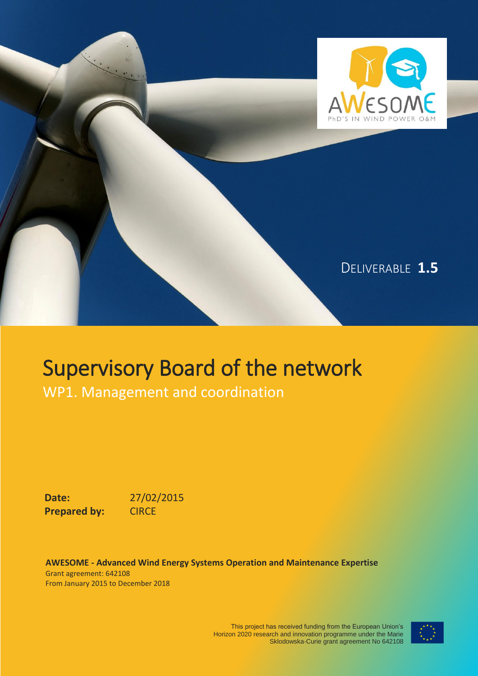

# Supervisory Board of the network

WP1. Management and coordination

**Date:** 27/02/2015 **Prepared by: CIRCE** 

**AWESOME - Advanced Wind Energy Systems Operation and Maintenance Expertise** Grant agreement: 642108 From January 2015 to December 2018

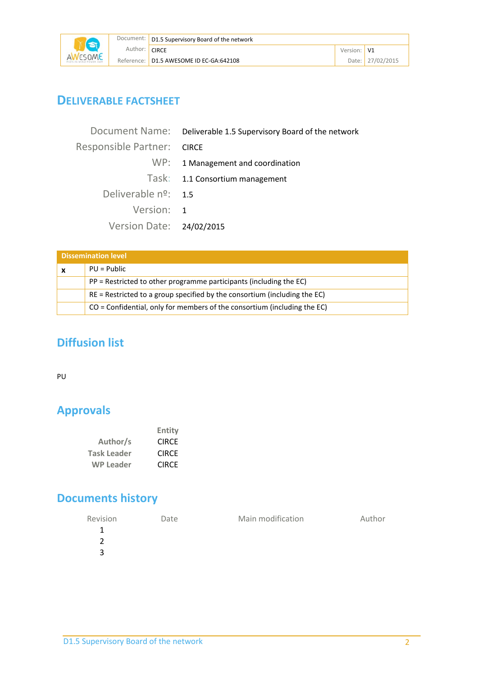

## **DELIVERABLE FACTSHEET**

|                               | Document Name: Deliverable 1.5 Supervisory Board of the network |
|-------------------------------|-----------------------------------------------------------------|
| Responsible Partner: CIRCE    |                                                                 |
|                               | WP: 1 Management and coordination                               |
|                               | Task: 1.1 Consortium management                                 |
| Deliverable $n^{\circ}$ : 1.5 |                                                                 |
| Version: 1                    |                                                                 |
| Version Date: 24/02/2015      |                                                                 |

| <b>Dissemination level</b>                                                  |
|-----------------------------------------------------------------------------|
| $PU = Public$                                                               |
| PP = Restricted to other programme participants (including the EC)          |
| $RE =$ Restricted to a group specified by the consortium (including the EC) |
| $CO =$ Confidential, only for members of the consortium (including the EC)  |

# **Diffusion list**

PU

# **Approvals**

|                    | Entity       |
|--------------------|--------------|
| Author/s           | <b>CIRCE</b> |
| <b>Task Leader</b> | <b>CIRCF</b> |
| <b>WP Leader</b>   | <b>CIRCF</b> |

# **Documents history**

| Revision | Date | Main modification | Author |
|----------|------|-------------------|--------|
|          |      |                   |        |
|          |      |                   |        |
| 3        |      |                   |        |
|          |      |                   |        |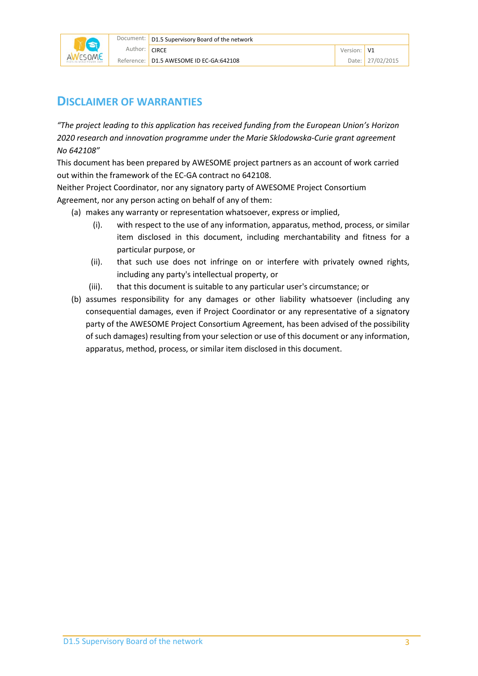

#### **DISCLAIMER OF WARRANTIES**

*"The project leading to this application has received funding from the European Union's Horizon 2020 research and innovation programme under the Marie Sklodowska-Curie grant agreement No 642108"*

This document has been prepared by AWESOME project partners as an account of work carried out within the framework of the EC-GA contract no 642108.

Neither Project Coordinator, nor any signatory party of AWESOME Project Consortium Agreement, nor any person acting on behalf of any of them:

- (a) makes any warranty or representation whatsoever, express or implied,
	- (i). with respect to the use of any information, apparatus, method, process, or similar item disclosed in this document, including merchantability and fitness for a particular purpose, or
	- (ii). that such use does not infringe on or interfere with privately owned rights, including any party's intellectual property, or
	- (iii). that this document is suitable to any particular user's circumstance; or
- (b) assumes responsibility for any damages or other liability whatsoever (including any consequential damages, even if Project Coordinator or any representative of a signatory party of the AWESOME Project Consortium Agreement, has been advised of the possibility of such damages) resulting from your selection or use of this document or any information, apparatus, method, process, or similar item disclosed in this document.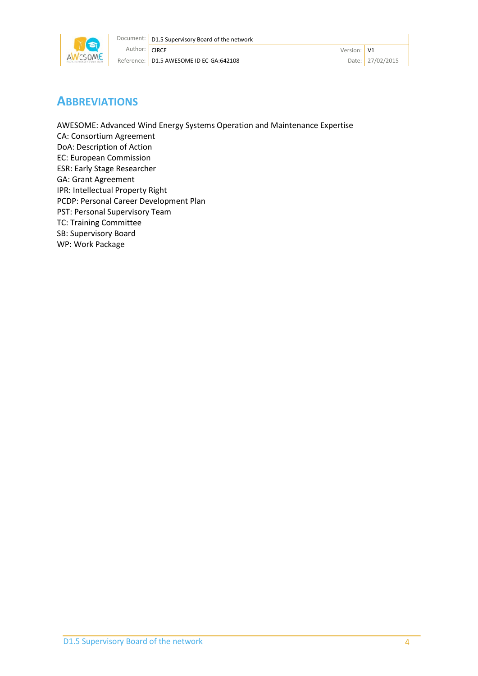

#### **ABBREVIATIONS**

AWESOME: Advanced Wind Energy Systems Operation and Maintenance Expertise CA: Consortium Agreement DoA: Description of Action EC: European Commission ESR: Early Stage Researcher GA: Grant Agreement IPR: Intellectual Property Right PCDP: Personal Career Development Plan PST: Personal Supervisory Team TC: Training Committee SB: Supervisory Board WP: Work Package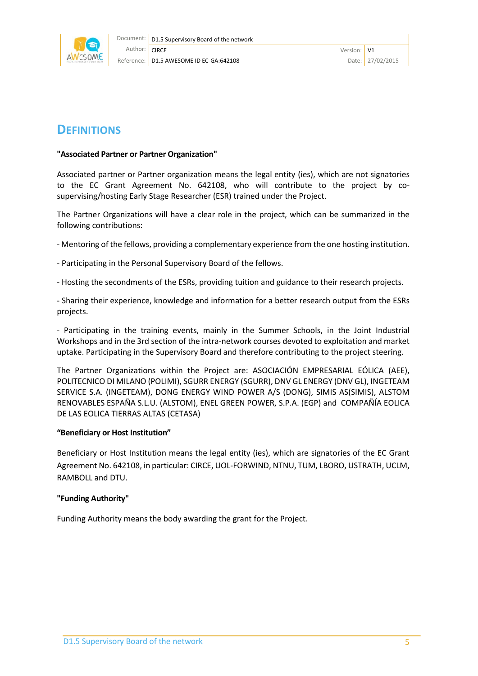

#### **DEFINITIONS**

#### **"Associated Partner or Partner Organization"**

Associated partner or Partner organization means the legal entity (ies), which are not signatories to the EC Grant Agreement No. 642108, who will contribute to the project by cosupervising/hosting Early Stage Researcher (ESR) trained under the Project.

The Partner Organizations will have a clear role in the project, which can be summarized in the following contributions:

- Mentoring of the fellows, providing a complementary experience from the one hosting institution.
- Participating in the Personal Supervisory Board of the fellows.
- Hosting the secondments of the ESRs, providing tuition and guidance to their research projects.

- Sharing their experience, knowledge and information for a better research output from the ESRs projects.

- Participating in the training events, mainly in the Summer Schools, in the Joint Industrial Workshops and in the 3rd section of the intra-network courses devoted to exploitation and market uptake. Participating in the Supervisory Board and therefore contributing to the project steering.

The Partner Organizations within the Project are: ASOCIACIÓN EMPRESARIAL EÓLICA (AEE), POLITECNICO DI MILANO (POLIMI), SGURR ENERGY (SGURR), DNV GL ENERGY (DNV GL), INGETEAM SERVICE S.A. (INGETEAM), DONG ENERGY WIND POWER A/S (DONG), SIMIS AS(SIMIS), ALSTOM RENOVABLES ESPAÑA S.L.U. (ALSTOM), ENEL GREEN POWER, S.P.A. (EGP) and COMPAÑÍA EOLICA DE LAS EOLICA TIERRAS ALTAS (CETASA)

#### **"Beneficiary or Host Institution"**

Beneficiary or Host Institution means the legal entity (ies), which are signatories of the EC Grant Agreement No. 642108, in particular: CIRCE, UOL-FORWIND, NTNU, TUM, LBORO, USTRATH, UCLM, RAMBOLL and DTU.

#### **"Funding Authority"**

Funding Authority means the body awarding the grant for the Project.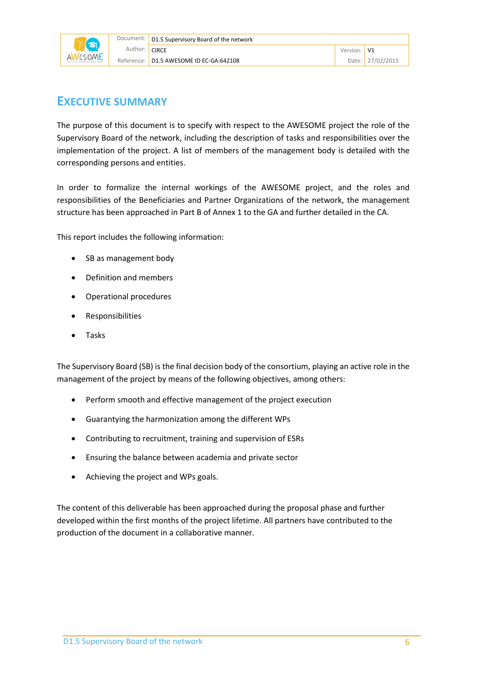

#### **EXECUTIVE SUMMARY**

The purpose of this document is to specify with respect to the AWESOME project the role of the Supervisory Board of the network, including the description of tasks and responsibilities over the implementation of the project. A list of members of the management body is detailed with the corresponding persons and entities.

In order to formalize the internal workings of the AWESOME project, and the roles and responsibilities of the Beneficiaries and Partner Organizations of the network, the management structure has been approached in Part B of Annex 1 to the GA and further detailed in the CA.

This report includes the following information:

- SB as management body
- Definition and members
- Operational procedures
- **Responsibilities**
- Tasks

The Supervisory Board (SB) is the final decision body of the consortium, playing an active role in the management of the project by means of the following objectives, among others:

- Perform smooth and effective management of the project execution
- Guarantying the harmonization among the different WPs
- Contributing to recruitment, training and supervision of ESRs
- Ensuring the balance between academia and private sector
- Achieving the project and WPs goals.

The content of this deliverable has been approached during the proposal phase and further developed within the first months of the project lifetime. All partners have contributed to the production of the document in a collaborative manner.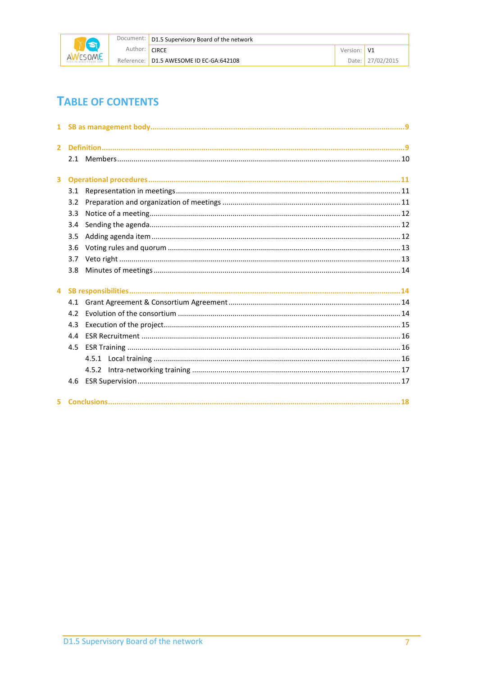

|               | Document:   D1.5 Supervisory Board of the network |             |                  |
|---------------|---------------------------------------------------|-------------|------------------|
| Author: CIRCE |                                                   | Version: V1 |                  |
|               | Reference: D1.5 AWESOME ID EC-GA:642108           |             | Date: 27/02/2015 |

# **TABLE OF CONTENTS**

| $\overline{2}$          |     |  |  |  |
|-------------------------|-----|--|--|--|
|                         |     |  |  |  |
| $\overline{\mathbf{3}}$ |     |  |  |  |
|                         | 3.1 |  |  |  |
|                         | 3.2 |  |  |  |
|                         | 3.3 |  |  |  |
|                         | 3.4 |  |  |  |
|                         | 3.5 |  |  |  |
|                         | 3.6 |  |  |  |
|                         | 3.7 |  |  |  |
|                         | 3.8 |  |  |  |
| $\overline{4}$          |     |  |  |  |
|                         |     |  |  |  |
|                         | 4.2 |  |  |  |
|                         | 4.3 |  |  |  |
|                         | 4.4 |  |  |  |
|                         | 4.5 |  |  |  |
|                         |     |  |  |  |
|                         |     |  |  |  |
|                         |     |  |  |  |
|                         |     |  |  |  |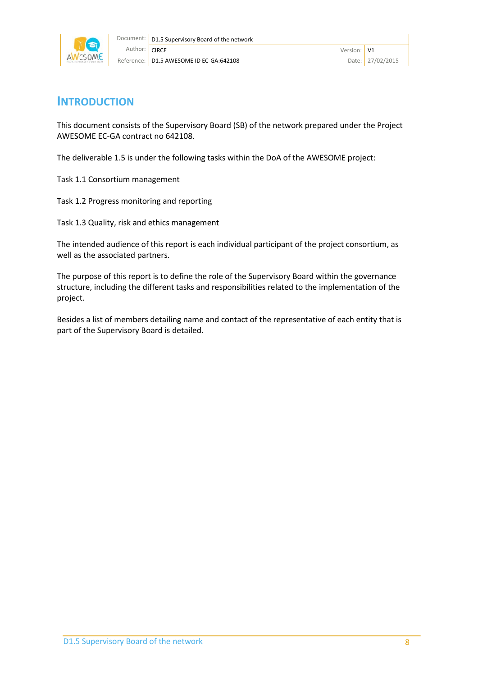

#### **INTRODUCTION**

This document consists of the Supervisory Board (SB) of the network prepared under the Project AWESOME EC-GA contract no 642108.

The deliverable 1.5 is under the following tasks within the DoA of the AWESOME project:

Task 1.1 Consortium management

Task 1.2 Progress monitoring and reporting

Task 1.3 Quality, risk and ethics management

The intended audience of this report is each individual participant of the project consortium, as well as the associated partners.

The purpose of this report is to define the role of the Supervisory Board within the governance structure, including the different tasks and responsibilities related to the implementation of the project.

Besides a list of members detailing name and contact of the representative of each entity that is part of the Supervisory Board is detailed.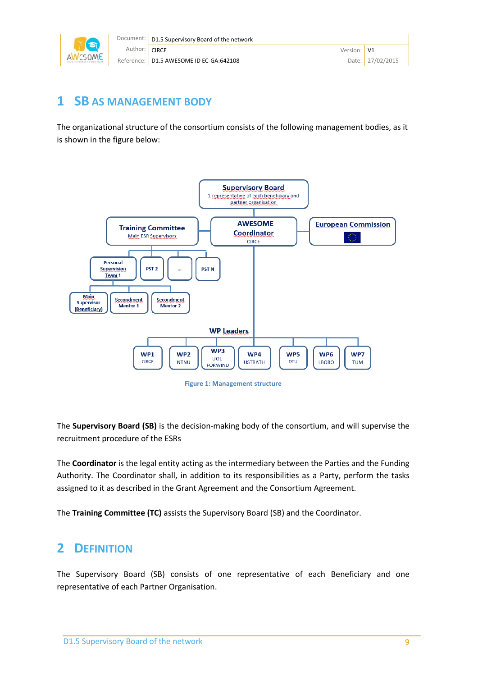| Document: I | D1.5 Supervisory Board of the network   |         |          |
|-------------|-----------------------------------------|---------|----------|
| Author:     | <b>CIRCE</b>                            | Version |          |
|             | Reference: D1.5 AWESOME ID EC-GA:642108 | Date:   | 102/2015 |

# <span id="page-8-0"></span>**1 SB AS MANAGEMENT BODY**

The organizational structure of the consortium consists of the following management bodies, as it is shown in the figure below:



**Figure 1: Management structure**

The **Supervisory Board (SB)** is the decision-making body of the consortium, and will supervise the recruitment procedure of the ESRs

The **Coordinator** is the legal entity acting as the intermediary between the Parties and the Funding Authority. The Coordinator shall, in addition to its responsibilities as a Party, perform the tasks assigned to it as described in the Grant Agreement and the Consortium Agreement.

<span id="page-8-1"></span>The **Training Committee (TC)** assists the Supervisory Board (SB) and the Coordinator.

# **2 DEFINITION**

The Supervisory Board (SB) consists of one representative of each Beneficiary and one representative of each Partner Organisation.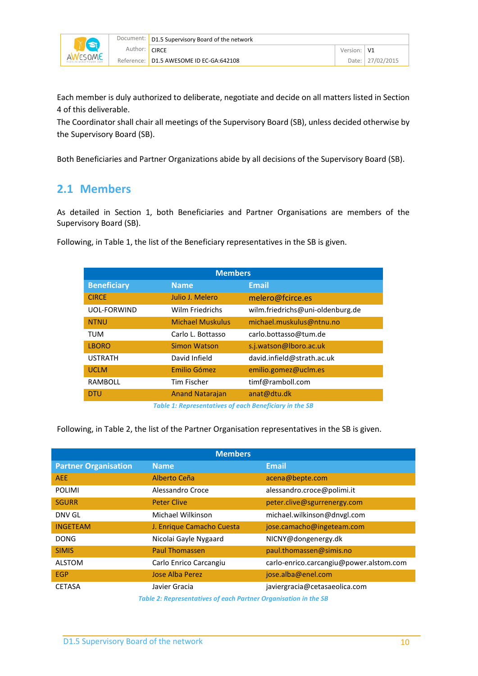

|               | Document:   D1.5 Supervisory Board of the network |             |  |
|---------------|---------------------------------------------------|-------------|--|
| Author: CIRCE |                                                   | Version: V1 |  |
|               | Reference: D1.5 AWESOME ID EC-GA:642108           | Date: $27$  |  |

Each member is duly authorized to deliberate, negotiate and decide on all matters listed in Section 4 of this deliverable.

The Coordinator shall chair all meetings of the Supervisory Board (SB), unless decided otherwise by the Supervisory Board (SB).

<span id="page-9-0"></span>Both Beneficiaries and Partner Organizations abide by all decisions of the Supervisory Board (SB).

#### **2.1 Members**

As detailed in Section 1, both Beneficiaries and Partner Organisations are members of the Supervisory Board (SB).

Following, in Table 1, the list of the Beneficiary representatives in the SB is given.

| <b>Members</b>          |                                  |  |
|-------------------------|----------------------------------|--|
| <b>Name</b>             | <b>Email</b>                     |  |
| Julio J. Melero         | melero@fcirce.es                 |  |
| Wilm Friedrichs         | wilm.friedrichs@uni-oldenburg.de |  |
| <b>Michael Muskulus</b> | michael.muskulus@ntnu.no         |  |
| Carlo L. Bottasso       | carlo.bottasso@tum.de            |  |
| <b>Simon Watson</b>     | s.j.watson@lboro.ac.uk           |  |
| David Infield           | david.infield@strath.ac.uk       |  |
| Emilio Gómez            | emilio.gomez@uclm.es             |  |
| Tim Fischer             | timf@ramboll.com                 |  |
| <b>Anand Natarajan</b>  | anat@dtu.dk                      |  |
|                         |                                  |  |

*Table 1: Representatives of each Beneficiary in the SB*

Following, in Table 2, the list of the Partner Organisation representatives in the SB is given.

| <b>Members</b>              |                                                                 |                                         |  |
|-----------------------------|-----------------------------------------------------------------|-----------------------------------------|--|
| <b>Partner Organisation</b> | <b>Name</b>                                                     | <b>Email</b>                            |  |
| <b>AEE</b>                  | Alberto Ceña                                                    | acena@bepte.com                         |  |
| <b>POLIMI</b>               | Alessandro Croce                                                | alessandro.croce@polimi.it              |  |
| <b>SGURR</b>                | <b>Peter Clive</b>                                              | peter.clive@sgurrenergy.com             |  |
| DNV GL                      | Michael Wilkinson                                               | michael.wilkinson@dnvgl.com             |  |
| <b>INGETEAM</b>             | J. Enrique Camacho Cuesta                                       | jose.camacho@ingeteam.com               |  |
| <b>DONG</b>                 | Nicolai Gayle Nygaard                                           | NICNY@dongenergy.dk                     |  |
| <b>SIMIS</b>                | <b>Paul Thomassen</b>                                           | paul.thomassen@simis.no                 |  |
| <b>ALSTOM</b>               | Carlo Enrico Carcangiu                                          | carlo-enrico.carcangiu@power.alstom.com |  |
| <b>EGP</b>                  | <b>Jose Alba Perez</b>                                          | jose.alba@enel.com                      |  |
| <b>CETASA</b>               | Javier Gracia                                                   | javiergracia@cetasaeolica.com           |  |
|                             | Table 2: Depresentatives of each Dartner Organisation in the CD |                                         |  |

*Table 2: Representatives of each Partner Organisation in the SB*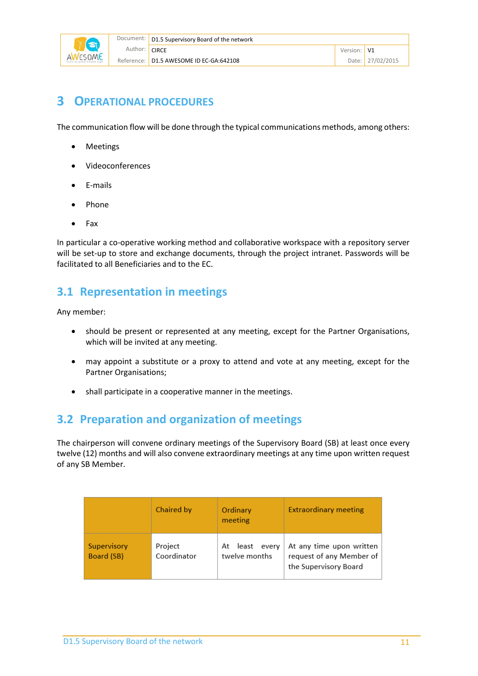

# <span id="page-10-0"></span>**3 OPERATIONAL PROCEDURES**

The communication flow will be done through the typical communications methods, among others:

- Meetings
- Videoconferences
- E-mails
- Phone
- Fax

In particular a co-operative working method and collaborative workspace with a repository server will be set-up to store and exchange documents, through the project intranet. Passwords will be facilitated to all Beneficiaries and to the EC.

## <span id="page-10-1"></span>**3.1 Representation in meetings**

Any member:

- should be present or represented at any meeting, except for the Partner Organisations, which will be invited at any meeting.
- may appoint a substitute or a proxy to attend and vote at any meeting, except for the Partner Organisations;
- shall participate in a cooperative manner in the meetings.

## <span id="page-10-2"></span>**3.2 Preparation and organization of meetings**

The chairperson will convene ordinary meetings of the Supervisory Board (SB) at least once every twelve (12) months and will also convene extraordinary meetings at any time upon written request of any SB Member.

|                           | Chaired by             | Ordinary<br>meeting                | <b>Extraordinary meeting</b>                                                  |
|---------------------------|------------------------|------------------------------------|-------------------------------------------------------------------------------|
| Supervisory<br>Board (SB) | Project<br>Coordinator | At least<br>every<br>twelve months | At any time upon written<br>request of any Member of<br>the Supervisory Board |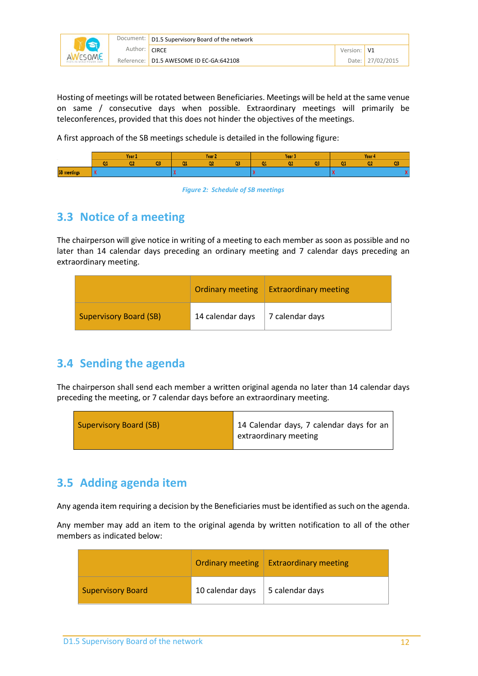|               | Document:   D1.5 Supervisory Board of the network |             |                  |  |  |
|---------------|---------------------------------------------------|-------------|------------------|--|--|
| Author: CIRCE |                                                   | Version: V1 |                  |  |  |
|               | Reference: D1.5 AWESOME ID EC-GA:642108           |             | Date: 27/02/2015 |  |  |

Hosting of meetings will be rotated between Beneficiaries. Meetings will be held at the same venue on same / consecutive days when possible. Extraordinary meetings will primarily be teleconferences, provided that this does not hinder the objectives of the meetings.

A first approach of the SB meetings schedule is detailed in the following figure:



*Figure 2: Schedule of SB meetings*

# <span id="page-11-0"></span>**3.3 Notice of a meeting**

The chairperson will give notice in writing of a meeting to each member as soon as possible and no later than 14 calendar days preceding an ordinary meeting and 7 calendar days preceding an extraordinary meeting.

|                               | <b>Ordinary meeting</b> | <b>Extraordinary meeting</b> |
|-------------------------------|-------------------------|------------------------------|
| <b>Supervisory Board (SB)</b> | 14 calendar days        | 7 calendar days              |

# <span id="page-11-1"></span>**3.4 Sending the agenda**

The chairperson shall send each member a written original agenda no later than 14 calendar days preceding the meeting, or 7 calendar days before an extraordinary meeting.

| <b>Supervisory Board (SB)</b> | 14 Calendar days, 7 calendar days for an<br>extraordinary meeting |
|-------------------------------|-------------------------------------------------------------------|
|-------------------------------|-------------------------------------------------------------------|

# <span id="page-11-2"></span>**3.5 Adding agenda item**

Any agenda item requiring a decision by the Beneficiaries must be identified as such on the agenda.

Any member may add an item to the original agenda by written notification to all of the other members as indicated below:

|                          | <b>Ordinary meeting</b> | <b>Extraordinary meeting</b> |
|--------------------------|-------------------------|------------------------------|
| <b>Supervisory Board</b> | 10 calendar days        | 5 calendar days              |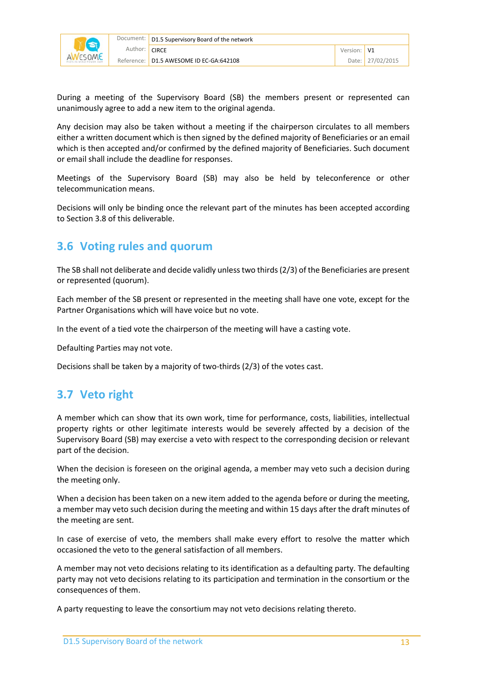

During a meeting of the Supervisory Board (SB) the members present or represented can unanimously agree to add a new item to the original agenda.

Any decision may also be taken without a meeting if the chairperson circulates to all members either a written document which is then signed by the defined majority of Beneficiaries or an email which is then accepted and/or confirmed by the defined majority of Beneficiaries. Such document or email shall include the deadline for responses.

Meetings of the Supervisory Board (SB) may also be held by teleconference or other telecommunication means.

Decisions will only be binding once the relevant part of the minutes has been accepted according to Section 3.8 of this deliverable.

#### <span id="page-12-0"></span>**3.6 Voting rules and quorum**

The SB shall not deliberate and decide validly unless two thirds (2/3) of the Beneficiaries are present or represented (quorum).

Each member of the SB present or represented in the meeting shall have one vote, except for the Partner Organisations which will have voice but no vote.

In the event of a tied vote the chairperson of the meeting will have a casting vote.

Defaulting Parties may not vote.

Decisions shall be taken by a majority of two-thirds (2/3) of the votes cast.

# <span id="page-12-1"></span>**3.7 Veto right**

A member which can show that its own work, time for performance, costs, liabilities, intellectual property rights or other legitimate interests would be severely affected by a decision of the Supervisory Board (SB) may exercise a veto with respect to the corresponding decision or relevant part of the decision.

When the decision is foreseen on the original agenda, a member may veto such a decision during the meeting only.

When a decision has been taken on a new item added to the agenda before or during the meeting, a member may veto such decision during the meeting and within 15 days after the draft minutes of the meeting are sent.

In case of exercise of veto, the members shall make every effort to resolve the matter which occasioned the veto to the general satisfaction of all members.

A member may not veto decisions relating to its identification as a defaulting party. The defaulting party may not veto decisions relating to its participation and termination in the consortium or the consequences of them.

A party requesting to leave the consortium may not veto decisions relating thereto.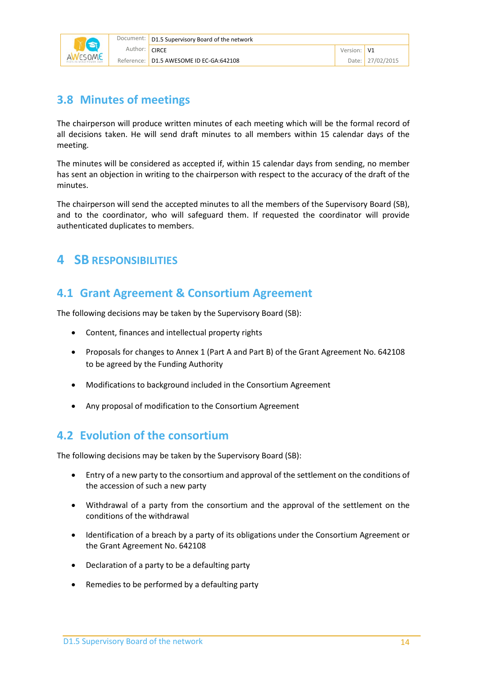

## <span id="page-13-0"></span>**3.8 Minutes of meetings**

The chairperson will produce written minutes of each meeting which will be the formal record of all decisions taken. He will send draft minutes to all members within 15 calendar days of the meeting.

The minutes will be considered as accepted if, within 15 calendar days from sending, no member has sent an objection in writing to the chairperson with respect to the accuracy of the draft of the minutes.

The chairperson will send the accepted minutes to all the members of the Supervisory Board (SB), and to the coordinator, who will safeguard them. If requested the coordinator will provide authenticated duplicates to members.

# <span id="page-13-1"></span>**4 SB RESPONSIBILITIES**

## <span id="page-13-2"></span>**4.1 Grant Agreement & Consortium Agreement**

The following decisions may be taken by the Supervisory Board (SB):

- Content, finances and intellectual property rights
- Proposals for changes to Annex 1 (Part A and Part B) of the Grant Agreement No. 642108 to be agreed by the Funding Authority
- Modifications to background included in the Consortium Agreement
- Any proposal of modification to the Consortium Agreement

## <span id="page-13-3"></span>**4.2 Evolution of the consortium**

The following decisions may be taken by the Supervisory Board (SB):

- Entry of a new party to the consortium and approval of the settlement on the conditions of the accession of such a new party
- Withdrawal of a party from the consortium and the approval of the settlement on the conditions of the withdrawal
- Identification of a breach by a party of its obligations under the Consortium Agreement or the Grant Agreement No. 642108
- Declaration of a party to be a defaulting party
- Remedies to be performed by a defaulting party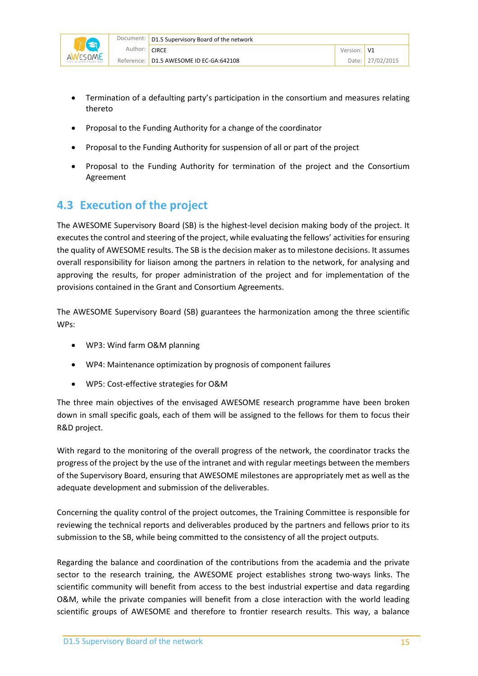

- Termination of a defaulting party's participation in the consortium and measures relating thereto
- Proposal to the Funding Authority for a change of the coordinator
- Proposal to the Funding Authority for suspension of all or part of the project
- Proposal to the Funding Authority for termination of the project and the Consortium Agreement

## <span id="page-14-0"></span>**4.3 Execution of the project**

The AWESOME Supervisory Board (SB) is the highest-level decision making body of the project. It executes the control and steering of the project, while evaluating the fellows' activities for ensuring the quality of AWESOME results. The SB is the decision maker as to milestone decisions. It assumes overall responsibility for liaison among the partners in relation to the network, for analysing and approving the results, for proper administration of the project and for implementation of the provisions contained in the Grant and Consortium Agreements.

The AWESOME Supervisory Board (SB) guarantees the harmonization among the three scientific WPs:

- WP3: Wind farm O&M planning
- WP4: Maintenance optimization by prognosis of component failures
- WP5: Cost-effective strategies for O&M

The three main objectives of the envisaged AWESOME research programme have been broken down in small specific goals, each of them will be assigned to the fellows for them to focus their R&D project.

With regard to the monitoring of the overall progress of the network, the coordinator tracks the progress of the project by the use of the intranet and with regular meetings between the members of the Supervisory Board, ensuring that AWESOME milestones are appropriately met as well as the adequate development and submission of the deliverables.

Concerning the quality control of the project outcomes, the Training Committee is responsible for reviewing the technical reports and deliverables produced by the partners and fellows prior to its submission to the SB, while being committed to the consistency of all the project outputs.

Regarding the balance and coordination of the contributions from the academia and the private sector to the research training, the AWESOME project establishes strong two-ways links. The scientific community will benefit from access to the best industrial expertise and data regarding O&M, while the private companies will benefit from a close interaction with the world leading scientific groups of AWESOME and therefore to frontier research results. This way, a balance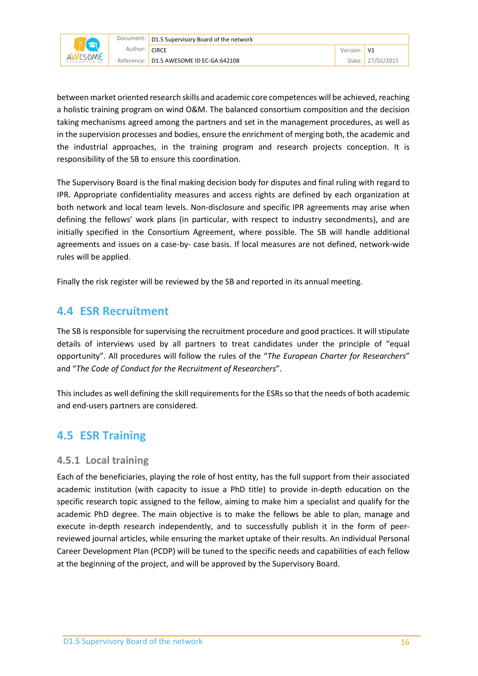

between market oriented research skills and academic core competences will be achieved, reaching a holistic training program on wind O&M. The balanced consortium composition and the decision taking mechanisms agreed among the partners and set in the management procedures, as well as in the supervision processes and bodies, ensure the enrichment of merging both, the academic and the industrial approaches, in the training program and research projects conception. It is responsibility of the SB to ensure this coordination.

The Supervisory Board is the final making decision body for disputes and final ruling with regard to IPR. Appropriate confidentiality measures and access rights are defined by each organization at both network and local team levels. Non-disclosure and specific IPR agreements may arise when defining the fellows' work plans (in particular, with respect to industry secondments), and are initially specified in the Consortium Agreement, where possible. The SB will handle additional agreements and issues on a case-by- case basis. If local measures are not defined, network-wide rules will be applied.

<span id="page-15-0"></span>Finally the risk register will be reviewed by the SB and reported in its annual meeting.

#### **4.4 ESR Recruitment**

The SB is responsible for supervising the recruitment procedure and good practices. It will stipulate details of interviews used by all partners to treat candidates under the principle of "equal opportunity". All procedures will follow the rules of the "*The European Charter for Researchers*" and "*The Code of Conduct for the Recruitment of Researchers*".

This includes as well defining the skill requirements for the ESRsso that the needs of both academic and end-users partners are considered.

## <span id="page-15-1"></span>**4.5 ESR Training**

#### <span id="page-15-2"></span>**4.5.1 Local training**

Each of the beneficiaries, playing the role of host entity, has the full support from their associated academic institution (with capacity to issue a PhD title) to provide in-depth education on the specific research topic assigned to the fellow, aiming to make him a specialist and qualify for the academic PhD degree. The main objective is to make the fellows be able to plan, manage and execute in-depth research independently, and to successfully publish it in the form of peerreviewed journal articles, while ensuring the market uptake of their results. An individual Personal Career Development Plan (PCDP) will be tuned to the specific needs and capabilities of each fellow at the beginning of the project, and will be approved by the Supervisory Board.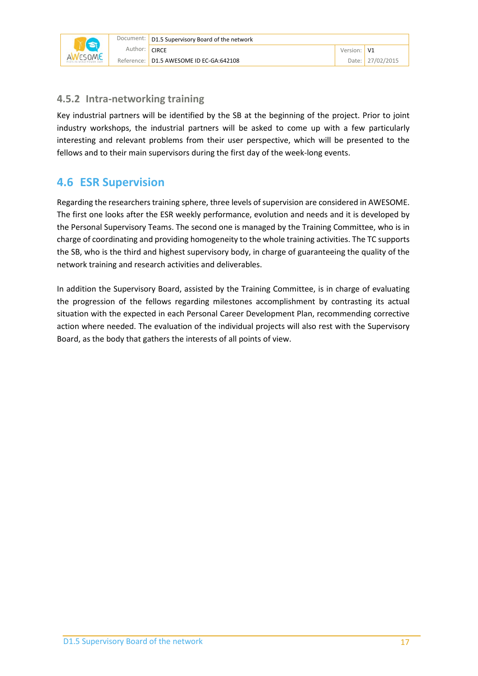

#### <span id="page-16-0"></span>**4.5.2 Intra-networking training**

Key industrial partners will be identified by the SB at the beginning of the project. Prior to joint industry workshops, the industrial partners will be asked to come up with a few particularly interesting and relevant problems from their user perspective, which will be presented to the fellows and to their main supervisors during the first day of the week-long events.

## <span id="page-16-1"></span>**4.6 ESR Supervision**

Regarding the researchers training sphere, three levels of supervision are considered in AWESOME. The first one looks after the ESR weekly performance, evolution and needs and it is developed by the Personal Supervisory Teams. The second one is managed by the Training Committee, who is in charge of coordinating and providing homogeneity to the whole training activities. The TC supports the SB, who is the third and highest supervisory body, in charge of guaranteeing the quality of the network training and research activities and deliverables.

In addition the Supervisory Board, assisted by the Training Committee, is in charge of evaluating the progression of the fellows regarding milestones accomplishment by contrasting its actual situation with the expected in each Personal Career Development Plan, recommending corrective action where needed. The evaluation of the individual projects will also rest with the Supervisory Board, as the body that gathers the interests of all points of view.